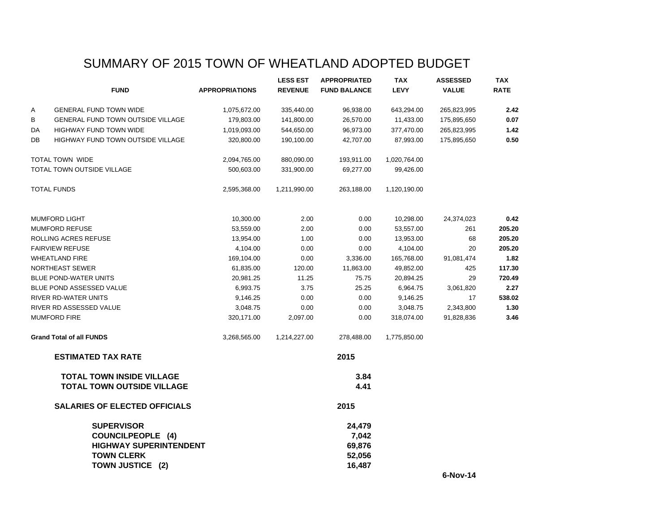# SUMMARY OF 2015 TOWN OF WHEATLAND ADOPTED BUDGET

|    |                                          |                       | <b>LESS EST</b> | <b>APPROPRIATED</b> | <b>TAX</b>   | <b>ASSESSED</b> | <b>TAX</b>  |
|----|------------------------------------------|-----------------------|-----------------|---------------------|--------------|-----------------|-------------|
|    | <b>FUND</b>                              | <b>APPROPRIATIONS</b> | <b>REVENUE</b>  | <b>FUND BALANCE</b> | <b>LEVY</b>  | <b>VALUE</b>    | <b>RATE</b> |
| Α  | <b>GENERAL FUND TOWN WIDE</b>            | 1,075,672.00          | 335,440.00      | 96,938.00           | 643,294.00   | 265,823,995     | 2.42        |
| В  | GENERAL FUND TOWN OUTSIDE VILLAGE        | 179,803.00            | 141,800.00      | 26,570.00           | 11,433.00    | 175,895,650     | 0.07        |
| DA | <b>HIGHWAY FUND TOWN WIDE</b>            | 1,019,093.00          | 544,650.00      | 96,973.00           | 377,470.00   | 265,823,995     | 1.42        |
| DB | <b>HIGHWAY FUND TOWN OUTSIDE VILLAGE</b> | 320,800.00            | 190,100.00      | 42,707.00           | 87,993.00    | 175,895,650     | 0.50        |
|    | <b>TOTAL TOWN WIDE</b>                   | 2,094,765.00          | 880,090.00      | 193,911.00          | 1,020,764.00 |                 |             |
|    | TOTAL TOWN OUTSIDE VILLAGE               | 500,603.00            | 331,900.00      | 69,277.00           | 99,426.00    |                 |             |
|    | <b>TOTAL FUNDS</b>                       | 2,595,368.00          | 1,211,990.00    | 263,188.00          | 1,120,190.00 |                 |             |
|    | <b>MUMFORD LIGHT</b>                     | 10,300.00             | 2.00            | 0.00                | 10,298.00    | 24,374,023      | 0.42        |
|    | <b>MUMFORD REFUSE</b>                    | 53,559.00             | 2.00            | 0.00                | 53,557.00    | 261             | 205.20      |
|    | ROLLING ACRES REFUSE                     | 13,954.00             | 1.00            | 0.00                | 13,953.00    | 68              | 205.20      |
|    | <b>FAIRVIEW REFUSE</b>                   | 4,104.00              | 0.00            | 0.00                | 4,104.00     | 20              | 205.20      |
|    | <b>WHEATLAND FIRE</b>                    | 169,104.00            | 0.00            | 3,336.00            | 165,768.00   | 91,081,474      | 1.82        |
|    | NORTHEAST SEWER                          | 61,835.00             | 120.00          | 11,863.00           | 49,852.00    | 425             | 117.30      |
|    | <b>BLUE POND-WATER UNITS</b>             | 20,981.25             | 11.25           | 75.75               | 20,894.25    | 29              | 720.49      |
|    | <b>BLUE POND ASSESSED VALUE</b>          | 6,993.75              | 3.75            | 25.25               | 6,964.75     | 3,061,820       | 2.27        |
|    | RIVER RD-WATER UNITS                     | 9,146.25              | 0.00            | 0.00                | 9,146.25     | 17              | 538.02      |
|    | RIVER RD ASSESSED VALUE                  | 3,048.75              | 0.00            | 0.00                | 3,048.75     | 2,343,800       | 1.30        |
|    | <b>MUMFORD FIRE</b>                      | 320,171.00            | 2,097.00        | 0.00                | 318,074.00   | 91,828,836      | 3.46        |
|    | <b>Grand Total of all FUNDS</b>          | 3,268,565.00          | 1,214,227.00    | 278,488.00          | 1,775,850.00 |                 |             |
|    | <b>ESTIMATED TAX RATE</b>                |                       |                 | 2015                |              |                 |             |
|    | <b>TOTAL TOWN INSIDE VILLAGE</b>         |                       |                 | 3.84                |              |                 |             |
|    | <b>TOTAL TOWN OUTSIDE VILLAGE</b>        |                       |                 | 4.41                |              |                 |             |
|    | <b>SALARIES OF ELECTED OFFICIALS</b>     |                       |                 | 2015                |              |                 |             |
|    | <b>SUPERVISOR</b>                        |                       |                 | 24,479              |              |                 |             |
|    | <b>COUNCILPEOPLE (4)</b>                 |                       |                 | 7,042               |              |                 |             |
|    | <b>HIGHWAY SUPERINTENDENT</b>            |                       |                 | 69,876              |              |                 |             |
|    | <b>TOWN CLERK</b>                        |                       |                 | 52,056              |              |                 |             |
|    | TOWN JUSTICE (2)                         |                       |                 | 16,487              |              |                 |             |
|    |                                          |                       |                 |                     |              | $6-Nov-14$      |             |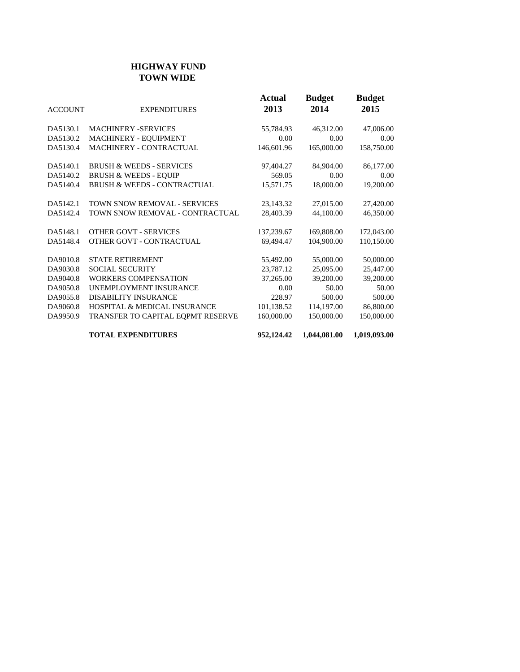### **HIGHWAY FUND TOWN WIDE**

| <b>ACCOUNT</b> | <b>EXPENDITURES</b>                     | Actual<br>2013 | <b>Budget</b><br>2014 | <b>Budget</b><br>2015 |
|----------------|-----------------------------------------|----------------|-----------------------|-----------------------|
| DA5130.1       | <b>MACHINERY -SERVICES</b>              | 55,784.93      | 46,312.00             | 47,006.00             |
| DA5130.2       | MACHINERY - EQUIPMENT                   | 0.00           | 0.00                  | 0.00                  |
| DA5130.4       | MACHINERY - CONTRACTUAL                 | 146,601.96     | 165,000.00            | 158,750.00            |
| DA5140.1       | <b>BRUSH &amp; WEEDS - SERVICES</b>     | 97,404.27      | 84,904.00             | 86,177.00             |
| DA5140.2       | <b>BRUSH &amp; WEEDS - EQUIP</b>        | 569.05         | 0.00                  | 0.00                  |
| DA5140.4       | <b>BRUSH &amp; WEEDS - CONTRACTUAL</b>  | 15,571.75      | 18,000.00             | 19,200.00             |
| DA5142.1       | TOWN SNOW REMOVAL - SERVICES            | 23,143.32      | 27,015.00             | 27,420.00             |
| DA5142.4       | TOWN SNOW REMOVAL - CONTRACTUAL         | 28,403.39      | 44,100.00             | 46,350.00             |
| DA5148.1       | <b>OTHER GOVT - SERVICES</b>            | 137,239.67     | 169,808.00            | 172,043.00            |
| DA5148.4       | OTHER GOVT - CONTRACTUAL                | 69,494.47      | 104,900.00            | 110,150.00            |
| DA9010.8       | <b>STATE RETIREMENT</b>                 | 55,492.00      | 55,000.00             | 50,000.00             |
| DA9030.8       | <b>SOCIAL SECURITY</b>                  | 23,787.12      | 25,095.00             | 25,447.00             |
| DA9040.8       | WORKERS COMPENSATION                    | 37,265.00      | 39,200.00             | 39,200.00             |
| DA9050.8       | UNEMPLOYMENT INSURANCE                  | 0.00           | 50.00                 | 50.00                 |
| DA9055.8       | DISABILITY INSURANCE                    | 228.97         | 500.00                | 500.00                |
| DA9060.8       | <b>HOSPITAL &amp; MEDICAL INSURANCE</b> | 101,138.52     | 114,197.00            | 86,800.00             |
| DA9950.9       | TRANSFER TO CAPITAL EQPMT RESERVE       | 160,000.00     | 150,000.00            | 150,000.00            |
|                | <b>TOTAL EXPENDITURES</b>               | 952,124.42     | 1,044,081.00          | 1,019,093.00          |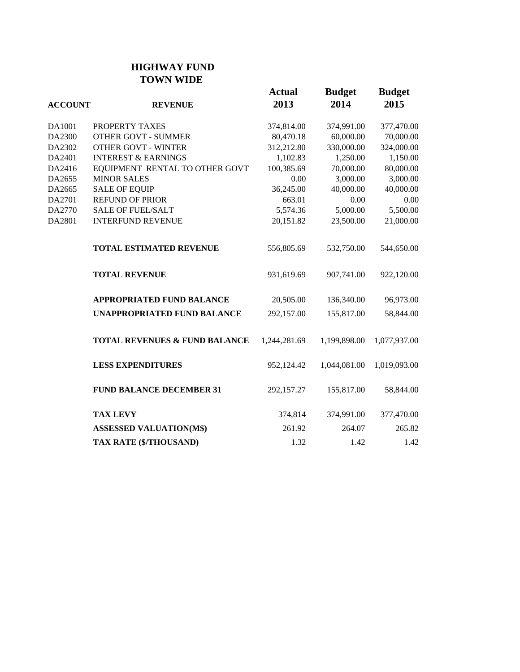## **HIGHWAY FUND TOWN WIDE**

| <b>ACCOUNT</b> | <b>REVENUE</b>                           | <b>Actual</b><br>2013 | <b>Budget</b><br>2014 | <b>Budget</b><br>2015 |
|----------------|------------------------------------------|-----------------------|-----------------------|-----------------------|
| DA1001         | PROPERTY TAXES                           | 374,814.00            | 374,991.00            | 377,470.00            |
| DA2300         | <b>OTHER GOVT - SUMMER</b>               | 80,470.18             | 60,000.00             | 70,000.00             |
| DA2302         | <b>OTHER GOVT - WINTER</b>               | 312,212.80            | 330,000.00            | 324,000.00            |
| DA2401         | <b>INTEREST &amp; EARNINGS</b>           | 1,102.83              | 1,250.00              | 1,150.00              |
| DA2416         | EQUIPMENT RENTAL TO OTHER GOVT           | 100,385.69            | 70,000.00             | 80,000.00             |
| DA2655         | <b>MINOR SALES</b>                       | 0.00                  | 3,000.00              | 3,000.00              |
| DA2665         | <b>SALE OF EQUIP</b>                     | 36,245.00             | 40,000.00             | 40,000.00             |
| DA2701         | <b>REFUND OF PRIOR</b>                   | 663.01                | 0.00                  | 0.00                  |
| DA2770         | <b>SALE OF FUEL/SALT</b>                 | 5,574.36              | 5,000.00              | 5,500.00              |
| DA2801         | <b>INTERFUND REVENUE</b>                 | 20,151.82             | 23,500.00             | 21,000.00             |
|                | <b>TOTAL ESTIMATED REVENUE</b>           | 556,805.69            | 532,750.00            | 544,650.00            |
|                | <b>TOTAL REVENUE</b>                     | 931,619.69            | 907,741.00            | 922,120.00            |
|                | <b>APPROPRIATED FUND BALANCE</b>         | 20,505.00             | 136,340.00            | 96,973.00             |
|                | <b>UNAPPROPRIATED FUND BALANCE</b>       | 292,157.00            | 155,817.00            | 58,844.00             |
|                | <b>TOTAL REVENUES &amp; FUND BALANCE</b> | 1,244,281.69          | 1,199,898.00          | 1,077,937.00          |
|                | <b>LESS EXPENDITURES</b>                 | 952,124.42            | 1,044,081.00          | 1,019,093.00          |
|                | <b>FUND BALANCE DECEMBER 31</b>          | 292,157.27            | 155,817.00            | 58,844.00             |
|                | <b>TAX LEVY</b>                          | 374,814               | 374,991.00            | 377,470.00            |
|                | <b>ASSESSED VALUATION(M\$)</b>           | 261.92                | 264.07                | 265.82                |
|                | TAX RATE (\$/THOUSAND)                   | 1.32                  | 1.42                  | 1.42                  |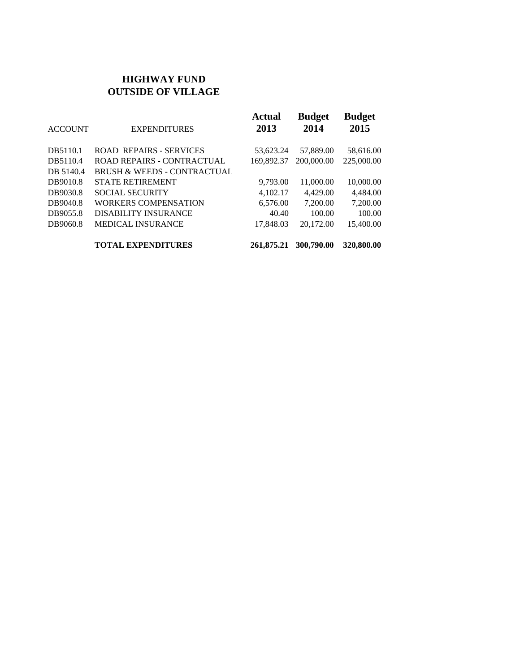## **HIGHWAY FUND OUTSIDE OF VILLAGE**

| <b>ACCOUNT</b> | <b>EXPENDITURES</b>                    | <b>Actual</b><br>2013 | <b>Budget</b><br>2014 | <b>Budget</b><br>2015 |
|----------------|----------------------------------------|-----------------------|-----------------------|-----------------------|
| DB5110.1       | <b>ROAD REPAIRS - SERVICES</b>         | 53,623.24             | 57,889.00             | 58,616.00             |
| DB5110.4       | <b>ROAD REPAIRS - CONTRACTUAL</b>      | 169,892.37            | 200,000.00            | 225,000.00            |
| DB 5140.4      | <b>BRUSH &amp; WEEDS - CONTRACTUAL</b> |                       |                       |                       |
| DB9010.8       | <b>STATE RETIREMENT</b>                | 9.793.00              | 11,000.00             | 10,000.00             |
| DB9030.8       | <b>SOCIAL SECURITY</b>                 | 4,102.17              | 4,429.00              | 4,484.00              |
| DB9040.8       | <b>WORKERS COMPENSATION</b>            | 6,576.00              | 7,200.00              | 7,200.00              |
| DB9055.8       | <b>DISABILITY INSURANCE</b>            | 40.40                 | 100.00                | 100.00                |
| DB9060.8       | <b>MEDICAL INSURANCE</b>               | 17,848.03             | 20.172.00             | 15,400.00             |
|                | <b>TOTAL EXPENDITURES</b>              | 261,875.21            | 300,790.00            | 320,800.00            |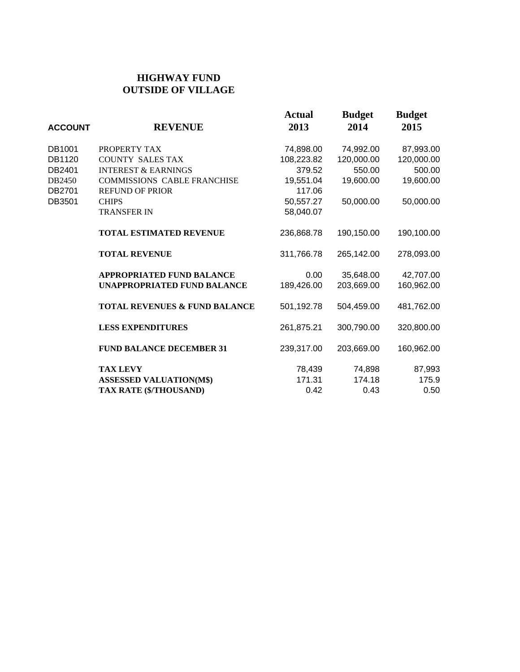## **HIGHWAY FUND OUTSIDE OF VILLAGE**

| <b>ACCOUNT</b> | <b>REVENUE</b>                           | <b>Actual</b><br>2013 | <b>Budget</b><br>2014 | <b>Budget</b><br>2015 |
|----------------|------------------------------------------|-----------------------|-----------------------|-----------------------|
| DB1001         | PROPERTY TAX                             | 74,898.00             | 74,992.00             | 87,993.00             |
| DB1120         | <b>COUNTY SALES TAX</b>                  | 108,223.82            | 120,000.00            | 120,000.00            |
| DB2401         | <b>INTEREST &amp; EARNINGS</b>           | 379.52                | 550.00                | 500.00                |
| DB2450         | <b>COMMISSIONS CABLE FRANCHISE</b>       | 19,551.04             | 19,600.00             | 19,600.00             |
| DB2701         | <b>REFUND OF PRIOR</b>                   | 117.06                |                       |                       |
| DB3501         | <b>CHIPS</b>                             | 50,557.27             | 50,000.00             | 50,000.00             |
|                | <b>TRANSFER IN</b>                       | 58,040.07             |                       |                       |
|                | <b>TOTAL ESTIMATED REVENUE</b>           | 236,868.78            | 190,150.00            | 190,100.00            |
|                | <b>TOTAL REVENUE</b>                     | 311,766.78            | 265,142.00            | 278,093.00            |
|                | <b>APPROPRIATED FUND BALANCE</b>         | 0.00                  | 35,648.00             | 42,707.00             |
|                | <b>UNAPPROPRIATED FUND BALANCE</b>       | 189,426.00            | 203,669.00            | 160,962.00            |
|                | <b>TOTAL REVENUES &amp; FUND BALANCE</b> | 501,192.78            | 504,459.00            | 481,762.00            |
|                | <b>LESS EXPENDITURES</b>                 | 261,875.21            | 300,790.00            | 320,800.00            |
|                | <b>FUND BALANCE DECEMBER 31</b>          | 239,317.00            | 203,669.00            | 160,962.00            |
|                | <b>TAX LEVY</b>                          | 78,439                | 74,898                | 87,993                |
|                | <b>ASSESSED VALUATION(M\$)</b>           | 171.31                | 174.18                | 175.9                 |
|                | TAX RATE (\$/THOUSAND)                   | 0.42                  | 0.43                  | 0.50                  |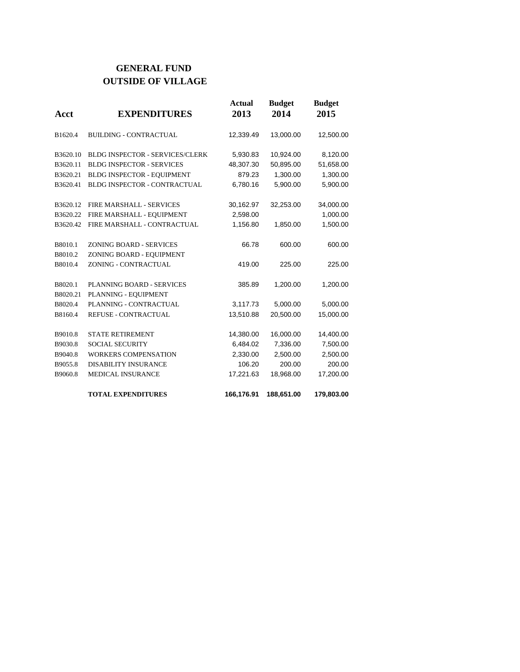## **GENERAL FUND OUTSIDE OF VILLAGE**

| Acct     | <b>EXPENDITURES</b>                    | <b>Actual</b><br>2013 | <b>Budget</b><br>2014 | <b>Budget</b><br>2015 |
|----------|----------------------------------------|-----------------------|-----------------------|-----------------------|
| B1620.4  | <b>BUILDING - CONTRACTUAL</b>          | 12,339.49             | 13,000.00             | 12,500.00             |
| B3620.10 | <b>BLDG INSPECTOR - SERVICES/CLERK</b> | 5,930.83              | 10,924.00             | 8,120.00              |
| B3620.11 | <b>BLDG INSPECTOR - SERVICES</b>       | 48,307.30             | 50,895.00             | 51,658.00             |
| B3620.21 | BLDG INSPECTOR - EQUIPMENT             | 879.23                | 1,300.00              | 1,300.00              |
| B3620.41 | <b>BLDG INSPECTOR - CONTRACTUAL</b>    | 6,780.16              | 5,900.00              | 5,900.00              |
| B3620.12 | <b>FIRE MARSHALL - SERVICES</b>        | 30,162.97             | 32,253.00             | 34,000.00             |
| B3620.22 | FIRE MARSHALL - EQUIPMENT              | 2,598.00              |                       | 1,000.00              |
| B3620.42 | FIRE MARSHALL - CONTRACTUAL            | 1,156.80              | 1,850.00              | 1,500.00              |
| B8010.1  | <b>ZONING BOARD - SERVICES</b>         | 66.78                 | 600.00                | 600.00                |
| B8010.2  | ZONING BOARD - EQUIPMENT               |                       |                       |                       |
| B8010.4  | ZONING - CONTRACTUAL                   | 419.00                | 225.00                | 225.00                |
| B8020.1  | PLANNING BOARD - SERVICES              | 385.89                | 1,200.00              | 1,200.00              |
| B8020.21 | PLANNING - EQUIPMENT                   |                       |                       |                       |
| B8020.4  | PLANNING - CONTRACTUAL                 | 3,117.73              | 5,000.00              | 5,000.00              |
| B8160.4  | REFUSE - CONTRACTUAL                   | 13,510.88             | 20,500.00             | 15,000.00             |
| B9010.8  | <b>STATE RETIREMENT</b>                | 14,380.00             | 16,000.00             | 14,400.00             |
| B9030.8  | <b>SOCIAL SECURITY</b>                 | 6,484.02              | 7,336.00              | 7,500.00              |
| B9040.8  | <b>WORKERS COMPENSATION</b>            | 2,330.00              | 2,500.00              | 2,500.00              |
| B9055.8  | <b>DISABILITY INSURANCE</b>            | 106.20                | 200.00                | 200.00                |
| B9060.8  | <b>MEDICAL INSURANCE</b>               | 17,221.63             | 18,968.00             | 17,200.00             |
|          | <b>TOTAL EXPENDITURES</b>              | 166,176.91            | 188,651.00            | 179,803.00            |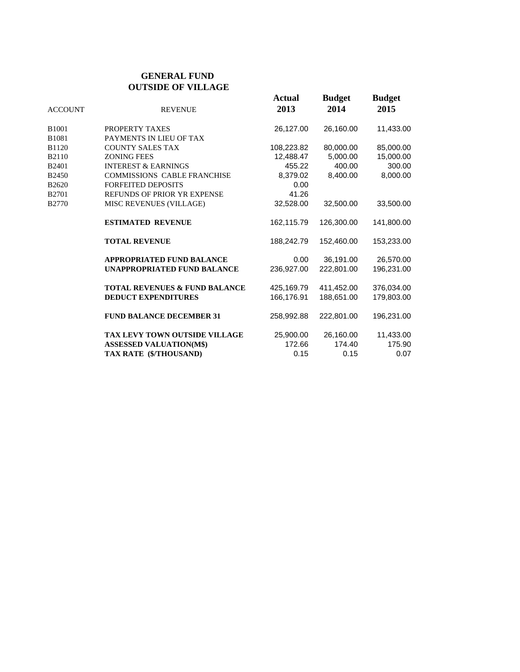#### **GENERAL FUND OUTSIDE OF VILLAGE**

| <b>ACCOUNT</b>    | <b>REVENUE</b>                           | <b>Actual</b><br>2013 | <b>Budget</b><br>2014 | <b>Budget</b><br>2015 |
|-------------------|------------------------------------------|-----------------------|-----------------------|-----------------------|
| B <sub>1001</sub> | PROPERTY TAXES                           | 26,127.00             | 26,160.00             | 11,433.00             |
| B1081             | PAYMENTS IN LIEU OF TAX                  |                       |                       |                       |
| B1120             | <b>COUNTY SALES TAX</b>                  | 108,223.82            | 80,000.00             | 85,000.00             |
| <b>B2110</b>      | <b>ZONING FEES</b>                       | 12.488.47             | 5,000.00              | 15,000.00             |
| B <sub>2401</sub> | <b>INTEREST &amp; EARNINGS</b>           | 455.22                | 400.00                | 300.00                |
| B2450             | <b>COMMISSIONS CABLE FRANCHISE</b>       | 8,379.02              | 8.400.00              | 8.000.00              |
| B2620             | <b>FORFEITED DEPOSITS</b>                | 0.00                  |                       |                       |
| B2701             | REFUNDS OF PRIOR YR EXPENSE              | 41.26                 |                       |                       |
| B2770             | MISC REVENUES (VILLAGE)                  | 32,528.00             | 32,500.00             | 33,500.00             |
|                   | <b>ESTIMATED REVENUE</b>                 | 162,115.79            | 126,300.00            | 141,800.00            |
|                   | <b>TOTAL REVENUE</b>                     | 188,242.79            | 152,460.00            | 153,233.00            |
|                   | <b>APPROPRIATED FUND BALANCE</b>         | 0.00                  | 36,191.00             | 26,570.00             |
|                   | <b>UNAPPROPRIATED FUND BALANCE</b>       | 236.927.00            | 222.801.00            | 196,231.00            |
|                   | <b>TOTAL REVENUES &amp; FUND BALANCE</b> | 425,169.79            | 411,452.00            | 376,034.00            |
|                   | <b>DEDUCT EXPENDITURES</b>               | 166.176.91            | 188.651.00            | 179.803.00            |
|                   | <b>FUND BALANCE DECEMBER 31</b>          | 258.992.88            | 222.801.00            | 196,231.00            |
|                   | <b>TAX LEVY TOWN OUTSIDE VILLAGE</b>     | 25,900.00             | 26,160.00             | 11,433.00             |
|                   | <b>ASSESSED VALUATION(M\$)</b>           | 172.66                | 174.40                | 175.90                |
|                   | TAX RATE (\$/THOUSAND)                   | 0.15                  | 0.15                  | 0.07                  |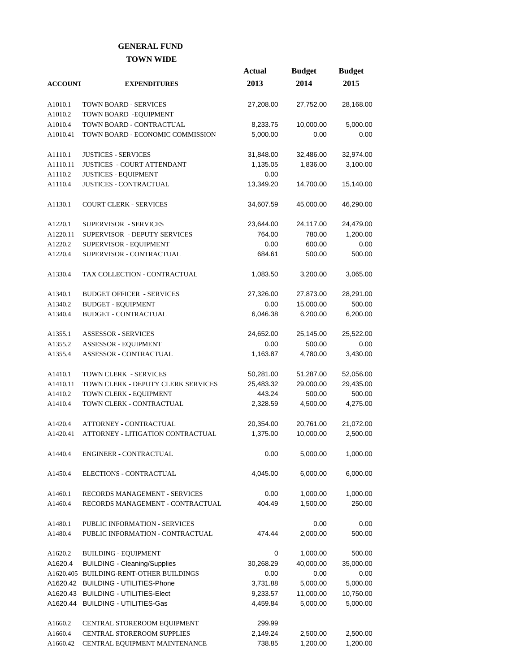#### **GENERAL FUND TOWN WIDE**

|                |                                         | <b>Actual</b> | <b>Budget</b> | <b>Budget</b> |
|----------------|-----------------------------------------|---------------|---------------|---------------|
| <b>ACCOUNT</b> | <b>EXPENDITURES</b>                     | 2013          | 2014          | 2015          |
|                |                                         |               |               |               |
| A1010.1        | <b>TOWN BOARD - SERVICES</b>            | 27,208.00     | 27,752.00     | 28,168.00     |
| A1010.2        | TOWN BOARD - EQUIPMENT                  |               |               |               |
| A1010.4        | TOWN BOARD - CONTRACTUAL                | 8,233.75      | 10,000.00     | 5,000.00      |
| A1010.41       | TOWN BOARD - ECONOMIC COMMISSION        | 5,000.00      | 0.00          | 0.00          |
| A1110.1        | <b>JUSTICES - SERVICES</b>              | 31,848.00     | 32,486.00     | 32,974.00     |
| A1110.11       | <b>JUSTICES - COURT ATTENDANT</b>       | 1,135.05      | 1,836.00      | 3,100.00      |
| A1110.2        | <b>JUSTICES - EQUIPMENT</b>             | 0.00          |               |               |
| A1110.4        | <b>JUSTICES - CONTRACTUAL</b>           | 13,349.20     | 14,700.00     | 15,140.00     |
| A1130.1        | <b>COURT CLERK - SERVICES</b>           | 34,607.59     | 45,000.00     | 46,290.00     |
| A1220.1        | SUPERVISOR - SERVICES                   | 23,644.00     | 24,117.00     | 24,479.00     |
| A1220.11       | SUPERVISOR - DEPUTY SERVICES            | 764.00        | 780.00        | 1,200.00      |
| A1220.2        | SUPERVISOR - EQUIPMENT                  | 0.00          | 600.00        | 0.00          |
| A1220.4        | SUPERVISOR - CONTRACTUAL                | 684.61        | 500.00        | 500.00        |
|                |                                         |               |               |               |
| A1330.4        | TAX COLLECTION - CONTRACTUAL            | 1,083.50      | 3,200.00      | 3,065.00      |
| A1340.1        | <b>BUDGET OFFICER - SERVICES</b>        | 27,326.00     | 27,873.00     | 28,291.00     |
| A1340.2        | <b>BUDGET - EQUIPMENT</b>               | 0.00          | 15,000.00     | 500.00        |
| A1340.4        | <b>BUDGET - CONTRACTUAL</b>             | 6,046.38      | 6,200.00      | 6,200.00      |
| A1355.1        | <b>ASSESSOR - SERVICES</b>              | 24,652.00     | 25,145.00     | 25,522.00     |
| A1355.2        | ASSESSOR - EQUIPMENT                    | 0.00          | 500.00        | 0.00          |
| A1355.4        | ASSESSOR - CONTRACTUAL                  | 1,163.87      | 4,780.00      | 3,430.00      |
| A1410.1        | TOWN CLERK - SERVICES                   | 50,281.00     | 51,287.00     | 52,056.00     |
| A1410.11       | TOWN CLERK - DEPUTY CLERK SERVICES      | 25,483.32     | 29,000.00     | 29,435.00     |
| A1410.2        | TOWN CLERK - EQUIPMENT                  | 443.24        | 500.00        | 500.00        |
| A1410.4        | TOWN CLERK - CONTRACTUAL                | 2,328.59      | 4,500.00      | 4,275.00      |
|                |                                         |               |               |               |
| A1420.4        | ATTORNEY - CONTRACTUAL                  | 20,354.00     | 20,761.00     | 21,072.00     |
| A1420.41       | ATTORNEY - LITIGATION CONTRACTUAL       | 1,375.00      | 10,000.00     | 2,500.00      |
| A1440.4        | ENGINEER - CONTRACTUAL                  | 0.00          | 5,000.00      | 1,000.00      |
| A1450.4        | ELECTIONS - CONTRACTUAL                 | 4,045.00      | 6,000.00      | 6,000.00      |
|                |                                         |               |               |               |
| A1460.1        | RECORDS MANAGEMENT - SERVICES           | 0.00          | 1,000.00      | 1,000.00      |
| A1460.4        | RECORDS MANAGEMENT - CONTRACTUAL        | 404.49        | 1,500.00      | 250.00        |
| A1480.1        | PUBLIC INFORMATION - SERVICES           |               | 0.00          | 0.00          |
| A1480.4        | PUBLIC INFORMATION - CONTRACTUAL        | 474.44        | 2,000.00      | 500.00        |
| A1620.2        | <b>BUILDING - EQUIPMENT</b>             | 0             | 1,000.00      | 500.00        |
| A1620.4        | <b>BUILDING - Cleaning/Supplies</b>     | 30,268.29     | 40,000.00     | 35,000.00     |
|                | A1620.405 BUILDING-RENT-OTHER BUILDINGS | 0.00          | 0.00          | 0.00          |
| A1620.42       | <b>BUILDING - UTILITIES-Phone</b>       | 3,731.88      | 5,000.00      | 5,000.00      |
| A1620.43       | <b>BUILDING - UTILITIES-Elect</b>       | 9,233.57      | 11,000.00     | 10,750.00     |
| A1620.44       | <b>BUILDING - UTILITIES-Gas</b>         | 4,459.84      | 5,000.00      | 5,000.00      |
|                |                                         |               |               |               |
| A1660.2        | CENTRAL STOREROOM EQUIPMENT             | 299.99        |               |               |
| A1660.4        | CENTRAL STOREROOM SUPPLIES              | 2,149.24      | 2,500.00      | 2,500.00      |
| A1660.42       | CENTRAL EQUIPMENT MAINTENANCE           | 738.85        | 1,200.00      | 1,200.00      |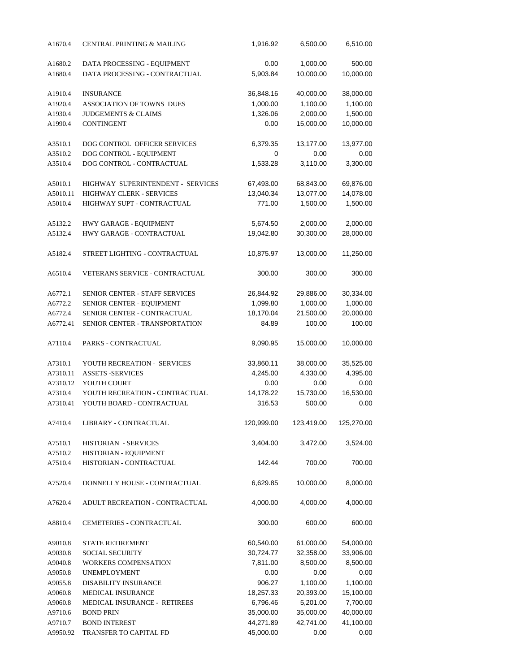| A1670.4  | <b>CENTRAL PRINTING &amp; MAILING</b> | 1,916.92   | 6,500.00   | 6,510.00   |
|----------|---------------------------------------|------------|------------|------------|
| A1680.2  | DATA PROCESSING - EQUIPMENT           | 0.00       | 1,000.00   | 500.00     |
| A1680.4  | DATA PROCESSING - CONTRACTUAL         | 5,903.84   | 10,000.00  | 10,000.00  |
| A1910.4  | <b>INSURANCE</b>                      | 36,848.16  | 40,000.00  | 38,000.00  |
| A1920.4  | ASSOCIATION OF TOWNS DUES             | 1,000.00   | 1,100.00   | 1,100.00   |
| A1930.4  | <b>JUDGEMENTS &amp; CLAIMS</b>        | 1,326.06   | 2,000.00   | 1,500.00   |
| A1990.4  | <b>CONTINGENT</b>                     | 0.00       | 15,000.00  | 10,000.00  |
| A3510.1  | DOG CONTROL OFFICER SERVICES          | 6,379.35   | 13,177.00  | 13,977.00  |
| A3510.2  | DOG CONTROL - EQUIPMENT               | 0          | 0.00       | 0.00       |
| A3510.4  | DOG CONTROL - CONTRACTUAL             | 1,533.28   | 3,110.00   | 3,300.00   |
| A5010.1  | HIGHWAY SUPERINTENDENT - SERVICES     | 67,493.00  | 68,843.00  | 69,876.00  |
| A5010.11 | HIGHWAY CLERK - SERVICES              | 13,040.34  | 13,077.00  | 14,078.00  |
| A5010.4  | HIGHWAY SUPT - CONTRACTUAL            | 771.00     | 1,500.00   | 1,500.00   |
| A5132.2  | HWY GARAGE - EQUIPMENT                | 5,674.50   | 2,000.00   | 2,000.00   |
| A5132.4  | HWY GARAGE - CONTRACTUAL              | 19,042.80  | 30,300.00  | 28,000.00  |
| A5182.4  | STREET LIGHTING - CONTRACTUAL         | 10,875.97  | 13,000.00  | 11,250.00  |
| A6510.4  | VETERANS SERVICE - CONTRACTUAL        | 300.00     | 300.00     | 300.00     |
| A6772.1  | SENIOR CENTER - STAFF SERVICES        | 26,844.92  | 29,886.00  | 30,334.00  |
| A6772.2  | SENIOR CENTER - EQUIPMENT             | 1,099.80   | 1,000.00   | 1,000.00   |
| A6772.4  | SENIOR CENTER - CONTRACTUAL           | 18,170.04  | 21,500.00  | 20,000.00  |
| A6772.41 | SENIOR CENTER - TRANSPORTATION        | 84.89      | 100.00     | 100.00     |
| A7110.4  | PARKS - CONTRACTUAL                   | 9,090.95   | 15,000.00  | 10,000.00  |
| A7310.1  | YOUTH RECREATION - SERVICES           | 33,860.11  | 38,000.00  | 35,525.00  |
| A7310.11 | <b>ASSETS -SERVICES</b>               | 4,245.00   | 4,330.00   | 4,395.00   |
| A7310.12 | YOUTH COURT                           | 0.00       | 0.00       | 0.00       |
| A7310.4  | YOUTH RECREATION - CONTRACTUAL        | 14,178.22  | 15,730.00  | 16,530.00  |
| A7310.41 | YOUTH BOARD - CONTRACTUAL             | 316.53     | 500.00     | 0.00       |
| A7410.4  | LIBRARY - CONTRACTUAL                 | 120,999.00 | 123,419.00 | 125,270.00 |
| A7510.1  | HISTORIAN - SERVICES                  | 3,404.00   | 3,472.00   | 3,524.00   |
| A7510.2  | HISTORIAN - EQUIPMENT                 |            |            |            |
| A7510.4  | HISTORIAN - CONTRACTUAL               | 142.44     | 700.00     | 700.00     |
| A7520.4  | DONNELLY HOUSE - CONTRACTUAL          | 6,629.85   | 10,000.00  | 8,000.00   |
| A7620.4  | ADULT RECREATION - CONTRACTUAL        | 4,000.00   | 4,000.00   | 4,000.00   |
| A8810.4  | CEMETERIES - CONTRACTUAL              | 300.00     | 600.00     | 600.00     |
| A9010.8  | STATE RETIREMENT                      | 60,540.00  | 61,000.00  | 54,000.00  |
| A9030.8  | <b>SOCIAL SECURITY</b>                | 30,724.77  | 32,358.00  | 33,906.00  |
| A9040.8  | WORKERS COMPENSATION                  | 7,811.00   | 8,500.00   | 8,500.00   |
| A9050.8  | <b>UNEMPLOYMENT</b>                   | 0.00       | 0.00       | 0.00       |
| A9055.8  | DISABILITY INSURANCE                  | 906.27     | 1,100.00   | 1,100.00   |
| A9060.8  | MEDICAL INSURANCE                     | 18,257.33  | 20,393.00  | 15,100.00  |
| A9060.8  | MEDICAL INSURANCE - RETIREES          | 6,796.46   | 5,201.00   | 7,700.00   |
| A9710.6  | <b>BOND PRIN</b>                      | 35,000.00  | 35,000.00  | 40,000.00  |
| A9710.7  | <b>BOND INTEREST</b>                  | 44,271.89  | 42,741.00  | 41,100.00  |
| A9950.92 | TRANSFER TO CAPITAL FD                | 45,000.00  | 0.00       | 0.00       |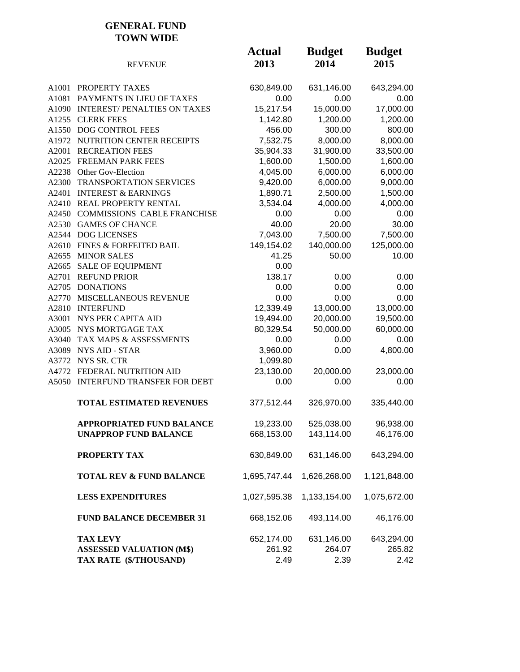#### **GENERAL FUND TOWN WIDE**

|       | <b>REVENUE</b>                      | <b>Actual</b><br>2013 | <b>Budget</b><br>2014 | <b>Budget</b><br>2015 |
|-------|-------------------------------------|-----------------------|-----------------------|-----------------------|
|       | A1001 PROPERTY TAXES                | 630,849.00            | 631,146.00            | 643,294.00            |
| A1081 | PAYMENTS IN LIEU OF TAXES           | 0.00                  | 0.00                  | 0.00                  |
|       | A1090 INTEREST/PENALTIES ON TAXES   | 15,217.54             | 15,000.00             | 17,000.00             |
|       | A1255 CLERK FEES                    | 1,142.80              | 1,200.00              | 1,200.00              |
|       | A1550 DOG CONTROL FEES              | 456.00                | 300.00                | 800.00                |
|       | A1972 NUTRITION CENTER RECEIPTS     | 7,532.75              | 8,000.00              | 8,000.00              |
| A2001 | <b>RECREATION FEES</b>              | 35,904.33             | 31,900.00             | 33,500.00             |
|       | A2025 FREEMAN PARK FEES             | 1,600.00              | 1,500.00              | 1,600.00              |
|       | A2238 Other Gov-Election            | 4,045.00              | 6,000.00              | 6,000.00              |
|       | A2300 TRANSPORTATION SERVICES       | 9,420.00              | 6,000.00              | 9,000.00              |
| A2401 | <b>INTEREST &amp; EARNINGS</b>      | 1,890.71              | 2,500.00              | 1,500.00              |
|       | A2410 REAL PROPERTY RENTAL          | 3,534.04              | 4,000.00              | 4,000.00              |
|       | A2450 COMMISSIONS CABLE FRANCHISE   | 0.00                  | 0.00                  | 0.00                  |
|       | A2530 GAMES OF CHANCE               | 40.00                 | 20.00                 | 30.00                 |
|       | A2544 DOG LICENSES                  | 7,043.00              | 7,500.00              | 7,500.00              |
|       | A2610 FINES & FORFEITED BAIL        | 149,154.02            | 140,000.00            | 125,000.00            |
|       | A2655 MINOR SALES                   | 41.25                 | 50.00                 | 10.00                 |
| A2665 | <b>SALE OF EQUIPMENT</b>            | 0.00                  |                       |                       |
| A2701 | <b>REFUND PRIOR</b>                 | 138.17                | 0.00                  | 0.00                  |
|       | A2705 DONATIONS                     | 0.00                  | 0.00                  | 0.00                  |
|       | A2770 MISCELLANEOUS REVENUE         | 0.00                  | 0.00                  | 0.00                  |
|       | A2810 INTERFUND                     | 12,339.49             | 13,000.00             | 13,000.00             |
| A3001 | NYS PER CAPITA AID                  | 19,494.00             | 20,000.00             | 19,500.00             |
|       | A3005 NYS MORTGAGE TAX              | 80,329.54             | 50,000.00             | 60,000.00             |
| A3040 | TAX MAPS & ASSESSMENTS              | 0.00                  | 0.00                  | 0.00                  |
| A3089 | <b>NYS AID - STAR</b>               | 3,960.00              | 0.00                  | 4,800.00              |
|       | A3772 NYS SR. CTR                   | 1,099.80              |                       |                       |
|       | A4772 FEDERAL NUTRITION AID         | 23,130.00             | 20,000.00             | 23,000.00             |
|       | A5050 INTERFUND TRANSFER FOR DEBT   | 0.00                  | 0.00                  | 0.00                  |
|       | <b>TOTAL ESTIMATED REVENUES</b>     | 377,512.44            | 326,970.00            | 335,440.00            |
|       | APPROPRIATED FUND BALANCE           | 19,233.00             | 525,038.00            | 96,938.00             |
|       | <b>UNAPPROP FUND BALANCE</b>        | 668,153.00            | 143,114.00            | 46,176.00             |
|       | PROPERTY TAX                        | 630,849.00            | 631,146.00            | 643,294.00            |
|       | <b>TOTAL REV &amp; FUND BALANCE</b> | 1,695,747.44          | 1,626,268.00          | 1,121,848.00          |
|       | <b>LESS EXPENDITURES</b>            | 1,027,595.38          | 1,133,154.00          | 1,075,672.00          |
|       | <b>FUND BALANCE DECEMBER 31</b>     | 668,152.06            | 493,114.00            | 46,176.00             |
|       | <b>TAX LEVY</b>                     | 652,174.00            | 631,146.00            | 643,294.00            |
|       | <b>ASSESSED VALUATION (M\$)</b>     | 261.92                | 264.07                | 265.82                |
|       | TAX RATE (\$/THOUSAND)              | 2.49                  | 2.39                  | 2.42                  |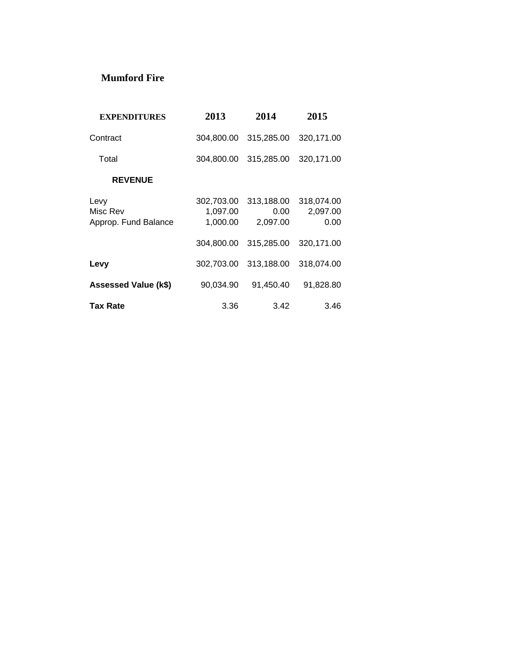### **Mumford Fire**

| <b>EXPENDITURES</b>                      | 2013                               | 2014                               | 2015                           |
|------------------------------------------|------------------------------------|------------------------------------|--------------------------------|
| Contract                                 | 304,800.00                         | 315,285.00                         | 320,171.00                     |
| Total                                    | 304,800.00                         | 315,285.00                         | 320,171.00                     |
| <b>REVENUE</b>                           |                                    |                                    |                                |
| Levy<br>Misc Rev<br>Approp. Fund Balance | 302,703.00<br>1,097.00<br>1,000.00 | 313,188.00<br>$0.00\,$<br>2,097.00 | 318,074.00<br>2,097.00<br>0.00 |
|                                          | 304,800.00                         | 315,285.00                         | 320,171.00                     |
| Levy                                     | 302,703.00                         | 313,188.00                         | 318,074.00                     |
| <b>Assessed Value (k\$)</b>              | 90,034.90                          | 91,450.40                          | 91,828.80                      |
| <b>Tax Rate</b>                          | 3.36                               | 3.42                               | 3.46                           |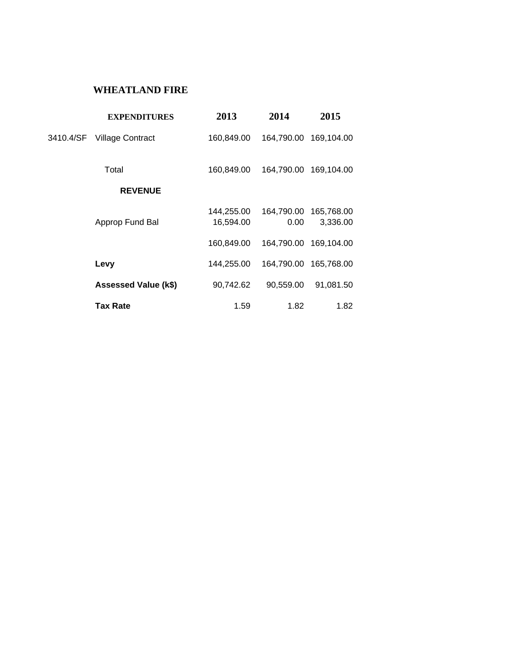## **WHEATLAND FIRE**

|           | <b>EXPENDITURES</b>     | 2013                    | 2014               | 2015                   |
|-----------|-------------------------|-------------------------|--------------------|------------------------|
| 3410.4/SF | <b>Village Contract</b> | 160,849.00              |                    | 164,790.00 169,104.00  |
|           | Total                   | 160,849.00              |                    | 164,790.00 169,104.00  |
|           | <b>REVENUE</b>          |                         |                    |                        |
|           | Approp Fund Bal         | 144,255.00<br>16,594.00 | 164,790.00<br>0.00 | 165,768.00<br>3,336.00 |
|           |                         | 160,849.00              |                    | 164,790.00 169,104.00  |
|           | Levy                    | 144,255.00              |                    | 164,790.00 165,768.00  |
|           | Assessed Value (k\$)    | 90,742.62               | 90,559.00          | 91,081.50              |
|           | Tax Rate                | 1.59                    | 1.82               | 1.82                   |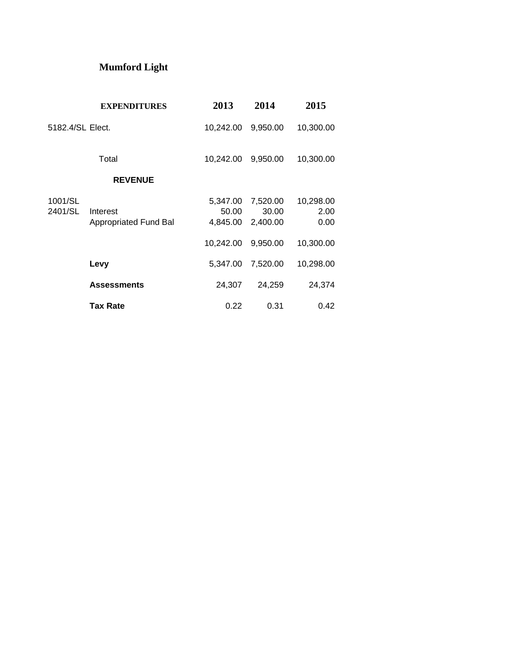# **Mumford Light**

|                    | <b>EXPENDITURES</b>                      | 2013                          | 2014                          | 2015                      |
|--------------------|------------------------------------------|-------------------------------|-------------------------------|---------------------------|
| 5182.4/SL Elect.   |                                          | 10,242.00                     | 9,950.00                      | 10,300.00                 |
|                    | Total                                    | 10,242.00                     | 9,950.00                      | 10,300.00                 |
|                    | <b>REVENUE</b>                           |                               |                               |                           |
| 1001/SL<br>2401/SL | Interest<br><b>Appropriated Fund Bal</b> | 5,347.00<br>50.00<br>4,845.00 | 7,520.00<br>30.00<br>2,400.00 | 10,298.00<br>2.00<br>0.00 |
|                    |                                          | 10,242.00                     | 9,950.00                      | 10,300.00                 |
|                    | Levy                                     | 5,347.00                      | 7,520.00                      | 10,298.00                 |
|                    | <b>Assessments</b>                       | 24,307                        | 24,259                        | 24,374                    |
|                    | <b>Tax Rate</b>                          | 0.22                          | 0.31                          | 0.42                      |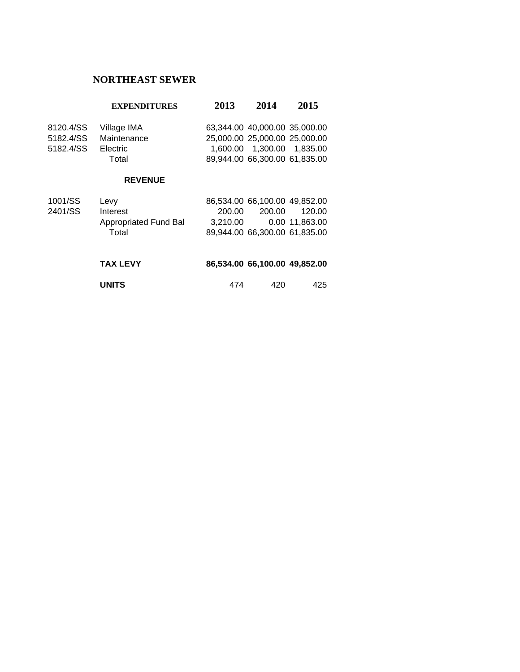## **NORTHEAST SEWER**

#### **EXPENDITURES 2013 2014 2015**

| Village IMA     |  |                                                                                                 |
|-----------------|--|-------------------------------------------------------------------------------------------------|
| Maintenance     |  |                                                                                                 |
| <b>Electric</b> |  |                                                                                                 |
| Total           |  |                                                                                                 |
|                 |  | 63.344.00 40.000.00 35.000.00<br>25,000,00 25,000,00 25,000,00<br>89.944.00 66.300.00 61.835.00 |

#### **REVENUE**

| 1001/SS | Levy                  |          | 86,534.00 66,100.00 49,852.00 |                |
|---------|-----------------------|----------|-------------------------------|----------------|
| 2401/SS | Interest              | 200.00   | 200.00                        | 120.00         |
|         | Appropriated Fund Bal | 3.210.00 |                               | 0.00 11.863.00 |
|         | Total                 |          | 89,944.00 66,300.00 61,835.00 |                |
|         |                       |          |                               |                |

| <b>TAX LEVY</b> | 86,534.00 66,100.00 49,852.00 |     |     |
|-----------------|-------------------------------|-----|-----|
| <b>UNITS</b>    | 474                           | 420 | 425 |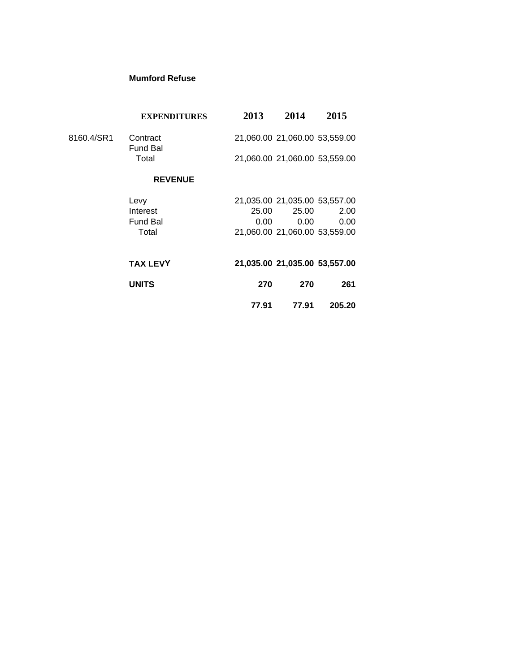#### **Mumford Refuse**

|            | <b>EXPENDITURES</b>         | 2013  | 2014                          | 2015   |
|------------|-----------------------------|-------|-------------------------------|--------|
| 8160.4/SR1 | Contract<br><b>Fund Bal</b> |       | 21,060.00 21,060.00 53,559.00 |        |
|            | Total                       |       | 21,060.00 21,060.00 53,559.00 |        |
|            | <b>REVENUE</b>              |       |                               |        |
|            | Levy                        |       | 21,035.00 21,035.00 53,557.00 |        |
|            | Interest                    | 25.00 | 25.00                         | 2.00   |
|            | <b>Fund Bal</b>             | 0.00  | 0.00                          | 0.00   |
|            | Total                       |       | 21,060.00 21,060.00 53,559.00 |        |
|            | <b>TAX LEVY</b>             |       | 21,035.00 21,035.00 53,557.00 |        |
|            | <b>UNITS</b>                | 270   | 270                           | 261    |
|            |                             | 77.91 | 77.91                         | 205.20 |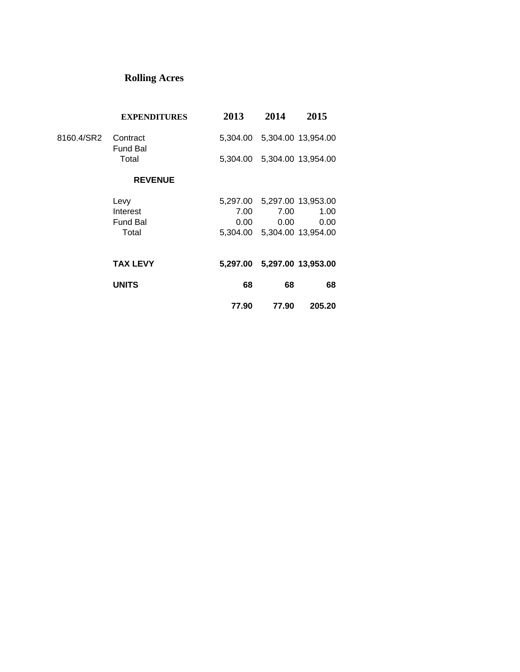# **Rolling Acres**

|            | <b>EXPENDITURES</b>         | 2013     | 2014  | 2015                        |
|------------|-----------------------------|----------|-------|-----------------------------|
| 8160.4/SR2 | Contract<br><b>Fund Bal</b> |          |       | 5,304.00 5,304.00 13,954.00 |
|            | Total                       |          |       | 5,304.00 5,304.00 13,954.00 |
|            | <b>REVENUE</b>              |          |       |                             |
|            | Levy                        | 5,297.00 |       | 5,297.00 13,953.00          |
|            | Interest                    | 7.00     | 7.00  | 1.00                        |
|            | <b>Fund Bal</b>             | 0.00     | 0.00  | 0.00                        |
|            | Total                       | 5.304.00 |       | 5,304.00 13,954.00          |
|            | <b>TAX LEVY</b>             |          |       | 5,297.00 5,297.00 13,953.00 |
|            | <b>UNITS</b>                | 68       | 68    | 68                          |
|            |                             | 77.90    | 77.90 | 205.20                      |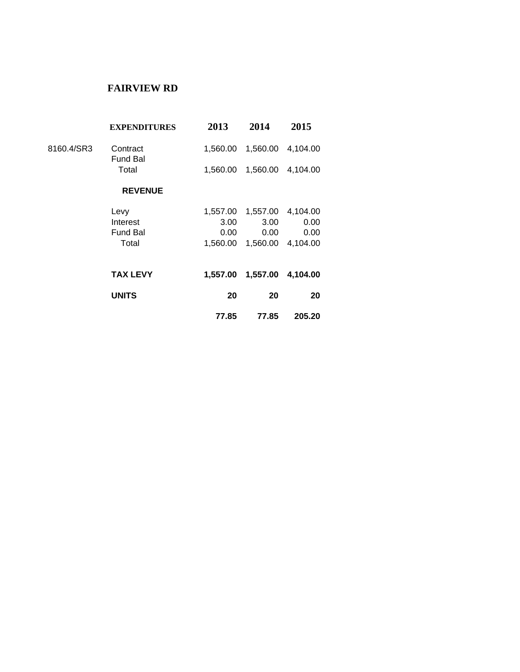## **FAIRVIEW RD**

|            | <b>EXPENDITURES</b>                          | 2013                                 | 2014                                 | 2015                                 |  |
|------------|----------------------------------------------|--------------------------------------|--------------------------------------|--------------------------------------|--|
| 8160.4/SR3 | Contract<br><b>Fund Bal</b>                  | 1,560.00                             | 1,560.00                             | 4,104.00                             |  |
|            | Total                                        | 1,560.00                             | 1,560.00                             | 4,104.00                             |  |
|            | <b>REVENUE</b>                               |                                      |                                      |                                      |  |
|            | Levy<br>Interest<br><b>Fund Bal</b><br>Total | 1,557.00<br>3.00<br>0.00<br>1,560.00 | 1,557.00<br>3.00<br>0.00<br>1,560.00 | 4,104.00<br>0.00<br>0.00<br>4,104.00 |  |
|            | <b>TAX LEVY</b>                              | 1.557.00                             | 1,557.00                             | 4,104.00                             |  |
|            | <b>UNITS</b>                                 | 20                                   | 20                                   | 20                                   |  |
|            |                                              | 77.85                                | 77.85                                | 205.20                               |  |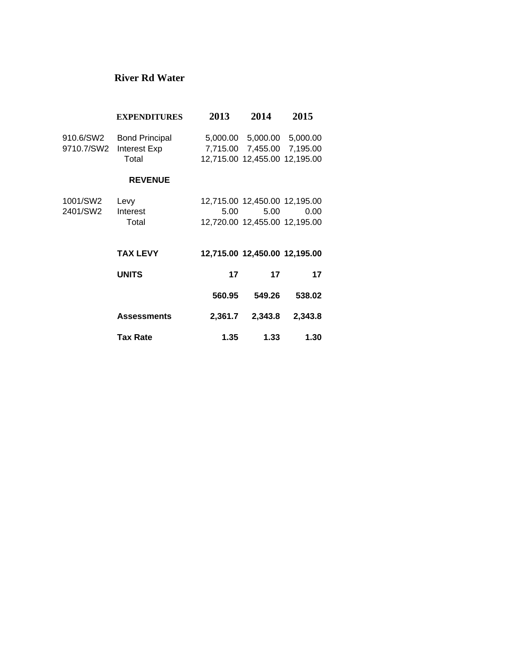### **River Rd Water**

|                         | <b>EXPENDITURES</b>                            | 2013    | 2014                                                                                      | 2015    |
|-------------------------|------------------------------------------------|---------|-------------------------------------------------------------------------------------------|---------|
| 910.6/SW2<br>9710.7/SW2 | <b>Bond Principal</b><br>Interest Exp<br>Total |         | 5,000.00 5,000.00 5,000.00<br>7,715.00 7,455.00 7,195.00<br>12,715.00 12,455.00 12,195.00 |         |
|                         | <b>REVENUE</b>                                 |         |                                                                                           |         |
| 1001/SW2<br>2401/SW2    | Levy<br>Interest<br>Total                      | 5.00    | 12,715.00 12,450.00 12,195.00<br>5.00<br>12,720.00 12,455.00 12,195.00                    | 0.00    |
|                         | <b>TAX LEVY</b>                                |         | 12,715.00 12,450.00 12,195.00                                                             |         |
|                         | <b>UNITS</b>                                   | 17      | 17                                                                                        | 17      |
|                         |                                                | 560.95  | 549.26                                                                                    | 538.02  |
|                         | <b>Assessments</b>                             | 2,361.7 | 2,343.8                                                                                   | 2,343.8 |
|                         | <b>Tax Rate</b>                                | 1.35    | 1.33                                                                                      | 1.30    |